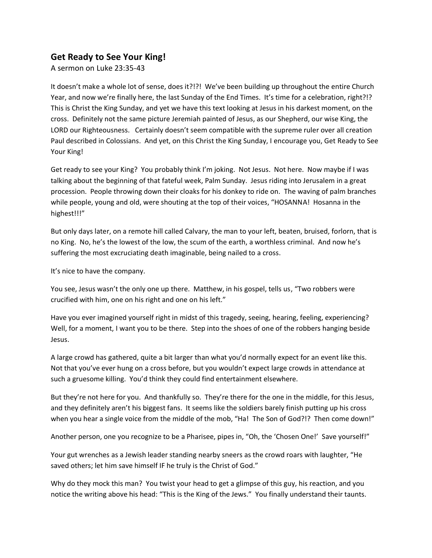## **Get Ready to See Your King!**

A sermon on Luke 23:35-43

It doesn't make a whole lot of sense, does it?!?! We've been building up throughout the entire Church Year, and now we're finally here, the last Sunday of the End Times. It's time for a celebration, right?!? This is Christ the King Sunday, and yet we have this text looking at Jesus in his darkest moment, on the cross. Definitely not the same picture Jeremiah painted of Jesus, as our Shepherd, our wise King, the LORD our Righteousness. Certainly doesn't seem compatible with the supreme ruler over all creation Paul described in Colossians. And yet, on this Christ the King Sunday, I encourage you, Get Ready to See Your King!

Get ready to see your King? You probably think I'm joking. Not Jesus. Not here. Now maybe if I was talking about the beginning of that fateful week, Palm Sunday. Jesus riding into Jerusalem in a great procession. People throwing down their cloaks for his donkey to ride on. The waving of palm branches while people, young and old, were shouting at the top of their voices, "HOSANNA! Hosanna in the highest!!!"

But only days later, on a remote hill called Calvary, the man to your left, beaten, bruised, forlorn, that is no King. No, he's the lowest of the low, the scum of the earth, a worthless criminal. And now he's suffering the most excruciating death imaginable, being nailed to a cross.

It's nice to have the company.

You see, Jesus wasn't the only one up there. Matthew, in his gospel, tells us, "Two robbers were crucified with him, one on his right and one on his left."

Have you ever imagined yourself right in midst of this tragedy, seeing, hearing, feeling, experiencing? Well, for a moment, I want you to be there. Step into the shoes of one of the robbers hanging beside Jesus.

A large crowd has gathered, quite a bit larger than what you'd normally expect for an event like this. Not that you've ever hung on a cross before, but you wouldn't expect large crowds in attendance at such a gruesome killing. You'd think they could find entertainment elsewhere.

But they're not here for you. And thankfully so. They're there for the one in the middle, for this Jesus, and they definitely aren't his biggest fans. It seems like the soldiers barely finish putting up his cross when you hear a single voice from the middle of the mob, "Ha! The Son of God?!? Then come down!"

Another person, one you recognize to be a Pharisee, pipes in, "Oh, the 'Chosen One!' Save yourself!"

Your gut wrenches as a Jewish leader standing nearby sneers as the crowd roars with laughter, "He saved others; let him save himself IF he truly is the Christ of God."

Why do they mock this man? You twist your head to get a glimpse of this guy, his reaction, and you notice the writing above his head: "This is the King of the Jews." You finally understand their taunts.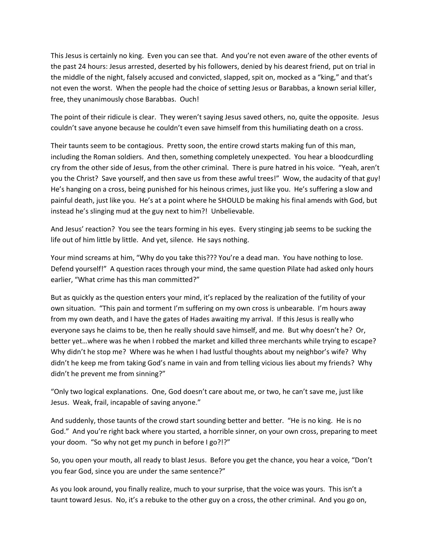This Jesus is certainly no king. Even you can see that. And you're not even aware of the other events of the past 24 hours: Jesus arrested, deserted by his followers, denied by his dearest friend, put on trial in the middle of the night, falsely accused and convicted, slapped, spit on, mocked as a "king," and that's not even the worst. When the people had the choice of setting Jesus or Barabbas, a known serial killer, free, they unanimously chose Barabbas. Ouch!

The point of their ridicule is clear. They weren't saying Jesus saved others, no, quite the opposite. Jesus couldn't save anyone because he couldn't even save himself from this humiliating death on a cross.

Their taunts seem to be contagious. Pretty soon, the entire crowd starts making fun of this man, including the Roman soldiers. And then, something completely unexpected. You hear a bloodcurdling cry from the other side of Jesus, from the other criminal. There is pure hatred in his voice. "Yeah, aren't you the Christ? Save yourself, and then save us from these awful trees!" Wow, the audacity of that guy! He's hanging on a cross, being punished for his heinous crimes, just like you. He's suffering a slow and painful death, just like you. He's at a point where he SHOULD be making his final amends with God, but instead he's slinging mud at the guy next to him?! Unbelievable.

And Jesus' reaction? You see the tears forming in his eyes. Every stinging jab seems to be sucking the life out of him little by little. And yet, silence. He says nothing.

Your mind screams at him, "Why do you take this??? You're a dead man. You have nothing to lose. Defend yourself!" A question races through your mind, the same question Pilate had asked only hours earlier, "What crime has this man committed?"

But as quickly as the question enters your mind, it's replaced by the realization of the futility of your own situation. "This pain and torment I'm suffering on my own cross is unbearable. I'm hours away from my own death, and I have the gates of Hades awaiting my arrival. If this Jesus is really who everyone says he claims to be, then he really should save himself, and me. But why doesn't he? Or, better yet…where was he when I robbed the market and killed three merchants while trying to escape? Why didn't he stop me? Where was he when I had lustful thoughts about my neighbor's wife? Why didn't he keep me from taking God's name in vain and from telling vicious lies about my friends? Why didn't he prevent me from sinning?"

"Only two logical explanations. One, God doesn't care about me, or two, he can't save me, just like Jesus. Weak, frail, incapable of saving anyone."

And suddenly, those taunts of the crowd start sounding better and better. "He is no king. He is no God." And you're right back where you started, a horrible sinner, on your own cross, preparing to meet your doom. "So why not get my punch in before I go?!?"

So, you open your mouth, all ready to blast Jesus. Before you get the chance, you hear a voice, "Don't you fear God, since you are under the same sentence?"

As you look around, you finally realize, much to your surprise, that the voice was yours. This isn't a taunt toward Jesus. No, it's a rebuke to the other guy on a cross, the other criminal. And you go on,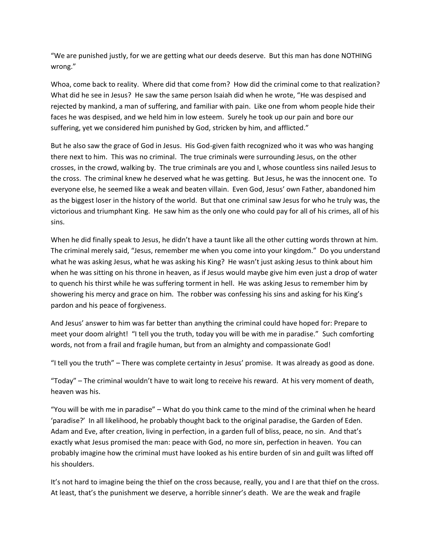"We are punished justly, for we are getting what our deeds deserve. But this man has done NOTHING wrong."

Whoa, come back to reality. Where did that come from? How did the criminal come to that realization? What did he see in Jesus? He saw the same person Isaiah did when he wrote, "He was despised and rejected by mankind, a man of suffering, and familiar with pain. Like one from whom people hide their faces he was despised, and we held him in low esteem. Surely he took up our pain and bore our suffering, yet we considered him punished by God, stricken by him, and afflicted."

But he also saw the grace of God in Jesus. His God-given faith recognized who it was who was hanging there next to him. This was no criminal. The true criminals were surrounding Jesus, on the other crosses, in the crowd, walking by. The true criminals are you and I, whose countless sins nailed Jesus to the cross. The criminal knew he deserved what he was getting. But Jesus, he was the innocent one. To everyone else, he seemed like a weak and beaten villain. Even God, Jesus' own Father, abandoned him as the biggest loser in the history of the world. But that one criminal saw Jesus for who he truly was, the victorious and triumphant King. He saw him as the only one who could pay for all of his crimes, all of his sins.

When he did finally speak to Jesus, he didn't have a taunt like all the other cutting words thrown at him. The criminal merely said, "Jesus, remember me when you come into your kingdom." Do you understand what he was asking Jesus, what he was asking his King? He wasn't just asking Jesus to think about him when he was sitting on his throne in heaven, as if Jesus would maybe give him even just a drop of water to quench his thirst while he was suffering torment in hell. He was asking Jesus to remember him by showering his mercy and grace on him. The robber was confessing his sins and asking for his King's pardon and his peace of forgiveness.

And Jesus' answer to him was far better than anything the criminal could have hoped for: Prepare to meet your doom alright! "I tell you the truth, today you will be with me in paradise." Such comforting words, not from a frail and fragile human, but from an almighty and compassionate God!

"I tell you the truth" – There was complete certainty in Jesus' promise. It was already as good as done.

"Today" – The criminal wouldn't have to wait long to receive his reward. At his very moment of death, heaven was his.

"You will be with me in paradise" – What do you think came to the mind of the criminal when he heard 'paradise?' In all likelihood, he probably thought back to the original paradise, the Garden of Eden. Adam and Eve, after creation, living in perfection, in a garden full of bliss, peace, no sin. And that's exactly what Jesus promised the man: peace with God, no more sin, perfection in heaven. You can probably imagine how the criminal must have looked as his entire burden of sin and guilt was lifted off his shoulders.

It's not hard to imagine being the thief on the cross because, really, you and I are that thief on the cross. At least, that's the punishment we deserve, a horrible sinner's death. We are the weak and fragile